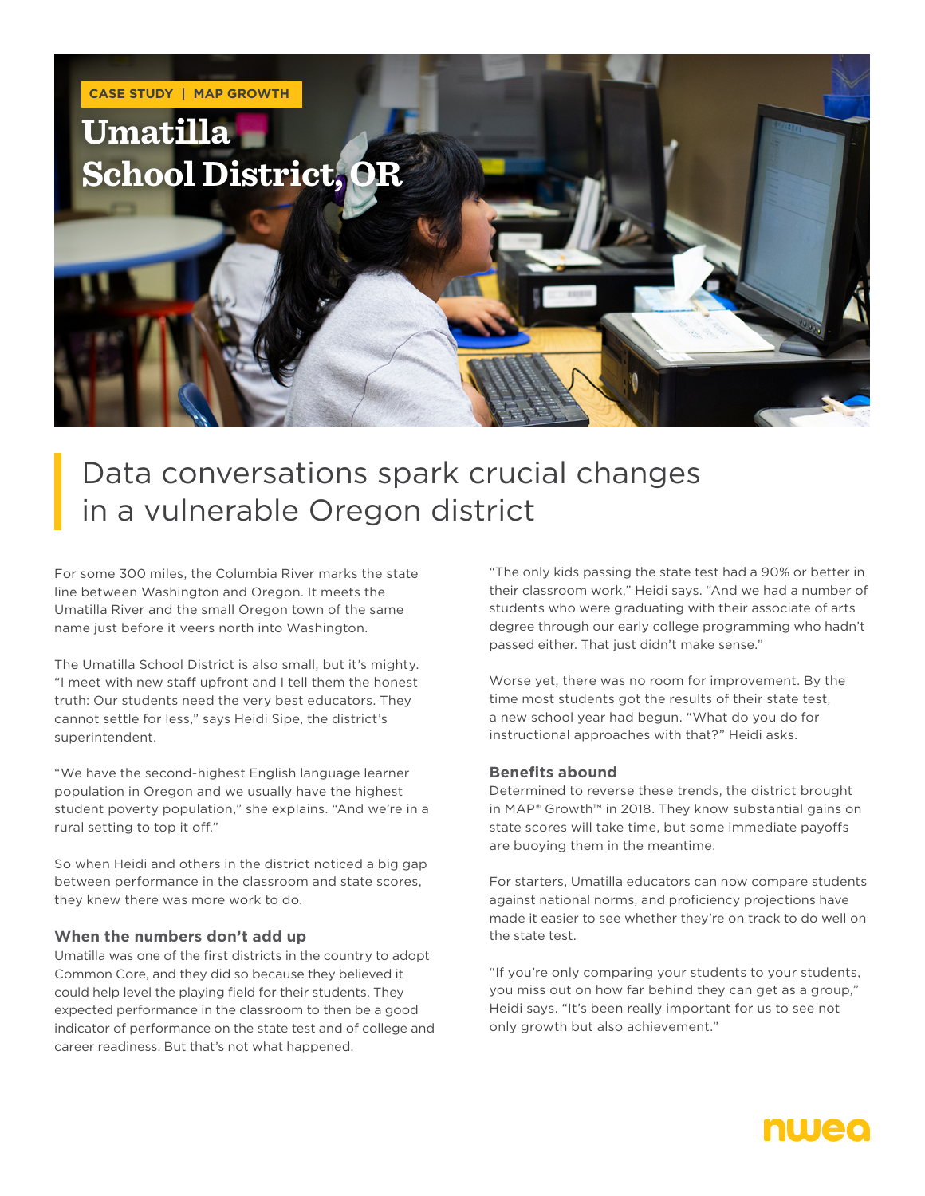

# Data conversations spark crucial changes in a vulnerable Oregon district

For some 300 miles, the Columbia River marks the state line between Washington and Oregon. It meets the Umatilla River and the small Oregon town of the same name just before it veers north into Washington.

The Umatilla School District is also small, but it's mighty. "I meet with new staff upfront and I tell them the honest truth: Our students need the very best educators. They cannot settle for less," says Heidi Sipe, the district's superintendent.

"We have the second-highest English language learner population in Oregon and we usually have the highest student poverty population," she explains. "And we're in a rural setting to top it off."

So when Heidi and others in the district noticed a big gap between performance in the classroom and state scores, they knew there was more work to do.

#### **When the numbers don't add up**

Umatilla was one of the first districts in the country to adopt Common Core, and they did so because they believed it could help level the playing field for their students. They expected performance in the classroom to then be a good indicator of performance on the state test and of college and career readiness. But that's not what happened.

"The only kids passing the state test had a 90% or better in their classroom work," Heidi says. "And we had a number of students who were graduating with their associate of arts degree through our early college programming who hadn't passed either. That just didn't make sense."

Worse yet, there was no room for improvement. By the time most students got the results of their state test, a new school year had begun. "What do you do for instructional approaches with that?" Heidi asks.

#### **Benefits abound**

Determined to reverse these trends, the district brought in MAP® Growth™ in 2018. They know substantial gains on state scores will take time, but some immediate payoffs are buoying them in the meantime.

For starters, Umatilla educators can now compare students against national norms, and proficiency projections have made it easier to see whether they're on track to do well on the state test.

"If you're only comparing your students to your students, you miss out on how far behind they can get as a group," Heidi says. "It's been really important for us to see not only growth but also achievement."